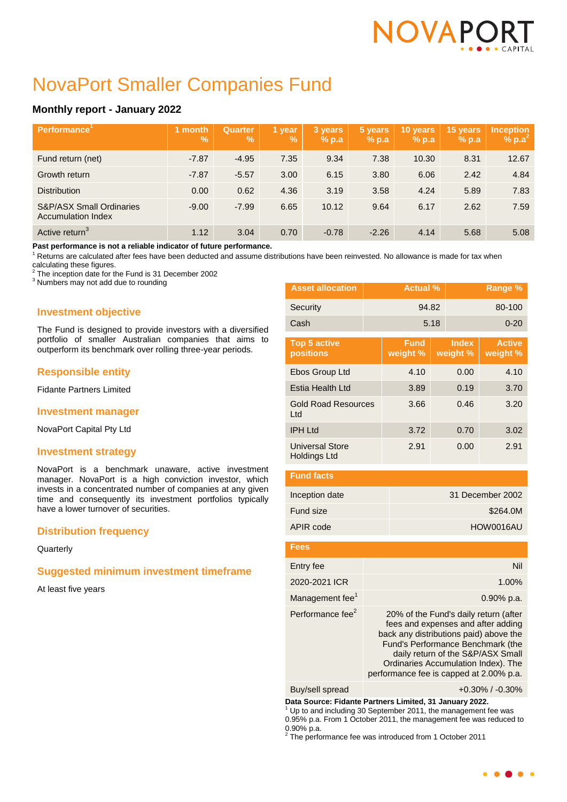# NOVAPC

# NovaPort Smaller Companies Fund

# **Monthly report - January 2022**

| Performance <sup>'</sup>                                         | month<br>$\mathbf{V}_{\mathbf{0}}$ | Quarter<br>$\mathbf{V}_{\mathbf{0}}$ | 1 year<br>$\frac{9}{6}$ | 3 years<br>$%$ p.a | 5 years<br>% p.a | 10 years<br>$%$ p.a | 15 years<br>$%$ p.a | <b>Inception</b><br>% $p.a^2$ |
|------------------------------------------------------------------|------------------------------------|--------------------------------------|-------------------------|--------------------|------------------|---------------------|---------------------|-------------------------------|
| Fund return (net)                                                | $-7.87$                            | $-4.95$                              | 7.35                    | 9.34               | 7.38             | 10.30               | 8.31                | 12.67                         |
| Growth return                                                    | $-7.87$                            | $-5.57$                              | 3.00                    | 6.15               | 3.80             | 6.06                | 2.42                | 4.84                          |
| <b>Distribution</b>                                              | 0.00                               | 0.62                                 | 4.36                    | 3.19               | 3.58             | 4.24                | 5.89                | 7.83                          |
| <b>S&amp;P/ASX Small Ordinaries</b><br><b>Accumulation Index</b> | $-9.00$                            | $-7.99$                              | 6.65                    | 10.12              | 9.64             | 6.17                | 2.62                | 7.59                          |
| Active return <sup>3</sup>                                       | 1.12                               | 3.04                                 | 0.70                    | $-0.78$            | $-2.26$          | 4.14                | 5.68                | 5.08                          |

**Past performance is not a reliable indicator of future performance.**

 $1$  Returns are calculated after fees have been deducted and assume distributions have been reinvested. No allowance is made for tax when

calculating these figures.<br><sup>2</sup> The incention data for the

The inception date for the Fund is 31 December 2002

<sup>3</sup> Numbers may not add due to rounding

# **Investment objective**

The Fund is designed to provide investors with a diversified portfolio of smaller Australian companies that aims to outperform its benchmark over rolling three-year periods.

# **Responsible entity**

Fidante Partners Limited

# **Investment manager**

NovaPort Capital Pty Ltd

# **Investment strategy**

NovaPort is a benchmark unaware, active investment manager. NovaPort is a high conviction investor, which invests in a concentrated number of companies at any given time and consequently its investment portfolios typically have a lower turnover of securities.

# **Distribution frequency**

**Quarterly** 

# **Suggested minimum investment timeframe**

At least five years

| <b>Asset allocation</b>           | <b>Actual %</b> |                         |      | Range %                  |                           |  |
|-----------------------------------|-----------------|-------------------------|------|--------------------------|---------------------------|--|
| Security                          |                 | 94.82                   |      |                          | 80-100                    |  |
| Cash                              |                 |                         | 5.18 |                          | $0 - 20$                  |  |
| <b>Top 5 active</b><br>positions  |                 | <b>Fund</b><br>weight % |      | <b>Index</b><br>weight % | <b>Active</b><br>weight % |  |
| Ebos Group Ltd                    |                 | 4.10                    |      | 0.00                     | 4.10                      |  |
| Estia Health Ltd                  |                 | 3.89                    |      | 0.19                     | 3.70                      |  |
| <b>Gold Road Resources</b><br>Ltd |                 | 3.66                    |      | 0.46                     | 3.20                      |  |
| <b>IPH Ltd</b>                    |                 | 3.72                    |      | 0.70                     | 3.02                      |  |
| Universal Store<br>Holdings Ltd   |                 | 2.91                    | 0.00 |                          | 2.91                      |  |

| <b>Fund facts</b> |                  |
|-------------------|------------------|
| Inception date    | 31 December 2002 |
| Fund size         | \$264.0M         |
| APIR code         | HOW0016AU        |

| Fees                         |                                                                                                                                                                                                                                                                                   |
|------------------------------|-----------------------------------------------------------------------------------------------------------------------------------------------------------------------------------------------------------------------------------------------------------------------------------|
| Entry fee                    | Nil                                                                                                                                                                                                                                                                               |
| 2020-2021 ICR                | 1.00%                                                                                                                                                                                                                                                                             |
| Management fee <sup>1</sup>  | $0.90\%$ p.a.                                                                                                                                                                                                                                                                     |
| Performance fee <sup>2</sup> | 20% of the Fund's daily return (after<br>fees and expenses and after adding<br>back any distributions paid) above the<br>Fund's Performance Benchmark (the<br>daily return of the S&P/ASX Small<br>Ordinaries Accumulation Index). The<br>performance fee is capped at 2.00% p.a. |

Buy/sell spread +0.30% / -0.30%

**Data Source: Fidante Partners Limited, 31 January 2022.**

Up to and including 30 September 2011, the management fee was 0.95% p.a. From 1 October 2011, the management fee was reduced to

0.90% p.a. 2 The performance fee was introduced from 1 October 2011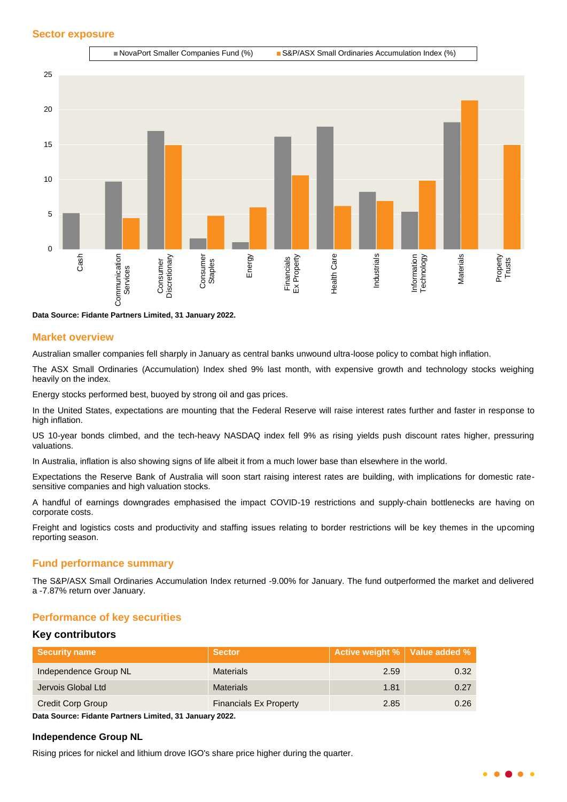

**Data Source: Fidante Partners Limited, 31 January 2022.**

#### **Market overview**

Australian smaller companies fell sharply in January as central banks unwound ultra-loose policy to combat high inflation.

The ASX Small Ordinaries (Accumulation) Index shed 9% last month, with expensive growth and technology stocks weighing heavily on the index.

Energy stocks performed best, buoyed by strong oil and gas prices.

In the United States, expectations are mounting that the Federal Reserve will raise interest rates further and faster in response to high inflation.

US 10-year bonds climbed, and the tech-heavy NASDAQ index fell 9% as rising yields push discount rates higher, pressuring valuations.

In Australia, inflation is also showing signs of life albeit it from a much lower base than elsewhere in the world.

Expectations the Reserve Bank of Australia will soon start raising interest rates are building, with implications for domestic ratesensitive companies and high valuation stocks.

A handful of earnings downgrades emphasised the impact COVID-19 restrictions and supply-chain bottlenecks are having on corporate costs.

Freight and logistics costs and productivity and staffing issues relating to border restrictions will be key themes in the upcoming reporting season.

# **Fund performance summary**

The S&P/ASX Small Ordinaries Accumulation Index returned -9.00% for January. The fund outperformed the market and delivered a -7.87% return over January.

#### **Performance of key securities**

#### **Key contributors**

| <b>Security name</b>     | <b>Sector</b>                 | Active weight %   Value added % |      |
|--------------------------|-------------------------------|---------------------------------|------|
| Independence Group NL    | <b>Materials</b>              | 2.59                            | 0.32 |
| Jervois Global Ltd       | <b>Materials</b>              | 1.81                            | 0.27 |
| <b>Credit Corp Group</b> | <b>Financials Ex Property</b> | 2.85                            | 0.26 |

**Data Source: Fidante Partners Limited, 31 January 2022.**

#### **Independence Group NL**

Rising prices for nickel and lithium drove IGO's share price higher during the quarter.